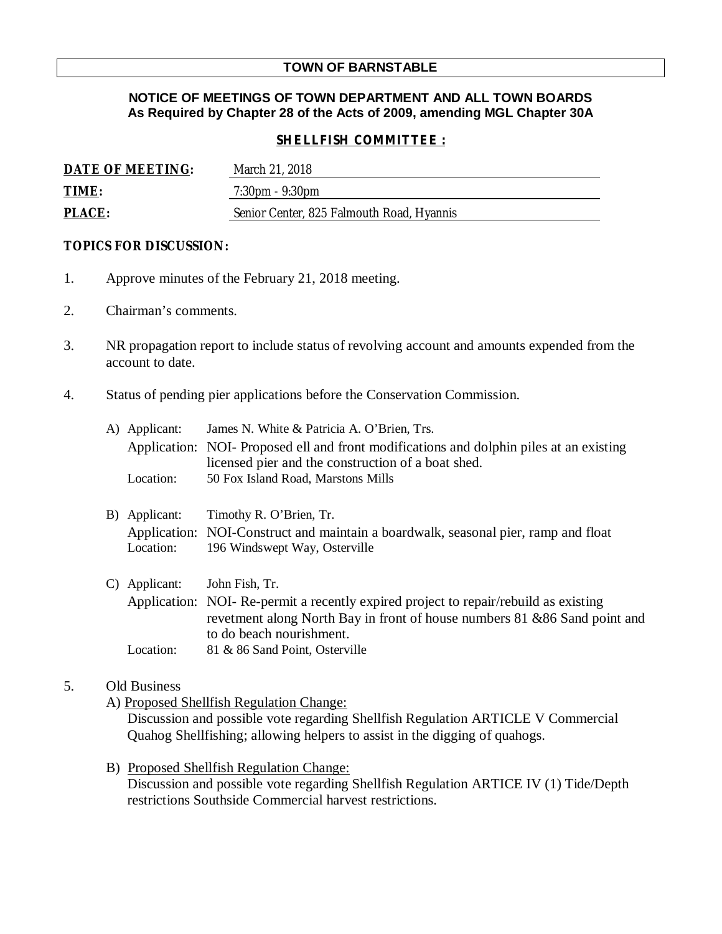# **TOWN OF BARNSTABLE**

## **NOTICE OF MEETINGS OF TOWN DEPARTMENT AND ALL TOWN BOARDS As Required by Chapter 28 of the Acts of 2009, amending MGL Chapter 30A**

### *SHELLFISH COMMITTEE :*

| DATE OF MEETING: | March 21, 2018                            |
|------------------|-------------------------------------------|
| TIME:            | $7:30 \text{pm} - 9:30 \text{pm}$         |
| PLACE:           | Senior Center, 825 Falmouth Road, Hyannis |

### **TOPICS FOR DISCUSSION:**

- 1. Approve minutes of the February 21, 2018 meeting.
- 2. Chairman's comments.
- 3. NR propagation report to include status of revolving account and amounts expended from the account to date.
- 4. Status of pending pier applications before the Conservation Commission.

|    | A) Applicant: | James N. White & Patricia A. O'Brien, Trs.                                              |
|----|---------------|-----------------------------------------------------------------------------------------|
|    |               | Application: NOI- Proposed ell and front modifications and dolphin piles at an existing |
|    |               | licensed pier and the construction of a boat shed.                                      |
|    | Location:     | 50 Fox Island Road, Marstons Mills                                                      |
|    |               |                                                                                         |
| B) | Applicant:    | Timothy R. O'Brien, Tr.                                                                 |
|    |               | Application: NOI-Construct and maintain a boardwalk, seasonal pier, ramp and float      |
|    | Location:     | 196 Windswept Way, Osterville                                                           |
|    |               |                                                                                         |
| C) | Applicant:    | John Fish, Tr.                                                                          |
|    |               | Application: NOI-Re-permit a recently expired project to repair/rebuild as existing     |
|    |               | revetment along North Bay in front of house numbers 81 & 86 Sand point and              |
|    |               | to do beach nourishment.                                                                |
|    | Location:     | 81 & 86 Sand Point, Osterville                                                          |
|    |               |                                                                                         |

### 5. Old Business

A) Proposed Shellfish Regulation Change:

Discussion and possible vote regarding Shellfish Regulation ARTICLE V Commercial Quahog Shellfishing; allowing helpers to assist in the digging of quahogs.

B) Proposed Shellfish Regulation Change:

Discussion and possible vote regarding Shellfish Regulation ARTICE IV (1) Tide/Depth restrictions Southside Commercial harvest restrictions.